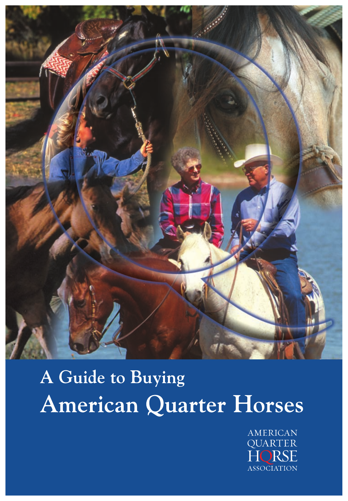

# A Guide to Buying **American Quarter Horses**

**AMERICAN** QUARTER RSF **ASSOCIATION**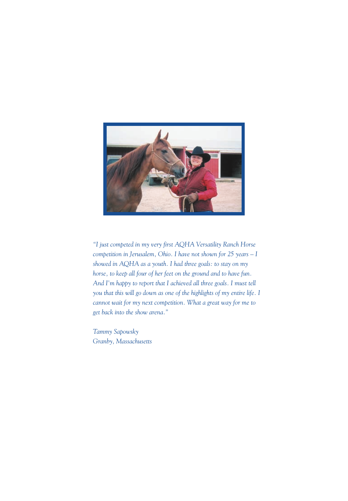

*"I just competed in my very first AQHA Versatility Ranch Horse competition in Jerusalem, Ohio. I have not shown for 25 years – I showed in AQHA as a youth. I had three goals: to stay on my horse, to keep all four of her feet on the ground and to have fun. And I'm happy to report that I achieved all three goals. I must tell you that this will go down as one of the highlights of my entire life. I cannot wait for my next competition. What a great way for me to get back into the show arena."*

*Tammy Sapowsky Granby, Massachusetts*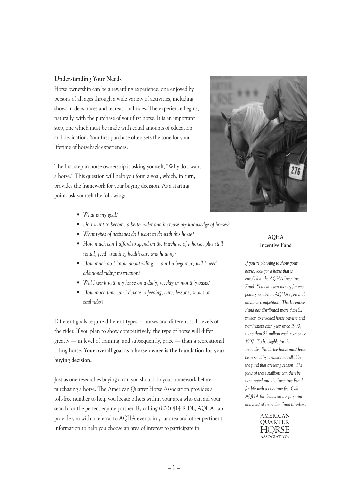#### **Understanding Your Needs**

Horse ownership can be a rewarding experience, one enjoyed by persons of all ages through a wide variety of activities, including shows, rodeos, races and recreational rides. The experience begins, naturally, with the purchase of your first horse. It is an important step, one which must be made with equal amounts of education and dedication. Your first purchase often sets the tone for your lifetime of horseback experiences.

The first step in horse ownership is asking yourself, "Why do I want a horse?" This question will help you form a goal, which, in turn, provides the framework for your buying decision. As a starting point, ask yourself the following:

- *What is my goal?*
- *Do I want to become a better rider and increase my knowledge of horses?*
- *What types of activities do I want to do with this horse?*
- *How much can I afford to spend on the purchase of a horse, plus stall rental, feed, training, health care and hauling?*
- *How much do I know about riding am I a beginner; will I need additional riding instruction?*
- *Will I work with my horse on a daily, weekly or monthly basis?*
- *How much time can I devote to feeding, care, lessons, shows or trail rides?*

Different goals require different types of horses and different skill levels of the rider. If you plan to show competitively, the type of horse will differ greatly — in level of training, and subsequently, price — than a recreational riding horse. **Your overall goal as a horse owner is the foundation for your buying decision.**

Just as one researches buying a car, you should do your homework before purchasing a horse. The American Quarter Horse Association provides a toll-free number to help you locate others within your area who can aid your search for the perfect equine partner. By calling (800) 414-RIDE, AQHA can provide you with a referral to AQHA events in your area and other pertinent information to help you choose an area of interest to participate in.



#### **AQHA Incentive Fund**

*If you're planning to show your horse, look for a horse that is enrolled in the AQHA Incentive Fund. You can earn money for each point you earn in AQHA open and amateur competition. The Incentive Fund has distributed more than \$2 million to enrolled horse owners and nominators each year since 1990, more than \$3 million each year since 1997. To be eligible for the Incentive Fund, the horse must have been sired by a stallion enrolled in the fund that breeding season. The foals of these stallions can then be nominated into the Incentive Fund for life with a one-time fee. Call AQHA for details on the program and a list of Incentive Fund breeders.*

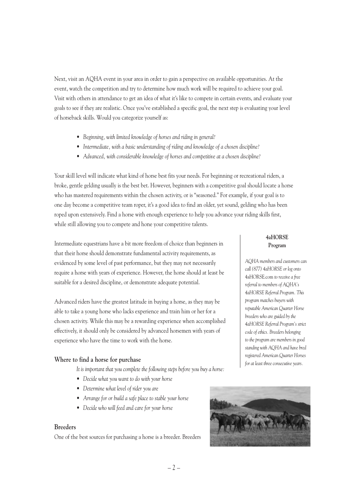Next, visit an AQHA event in your area in order to gain a perspective on available opportunities. At the event, watch the competition and try to determine how much work will be required to achieve your goal. Visit with others in attendance to get an idea of what it's like to compete in certain events, and evaluate your goals to see if they are realistic. Once you've established a specific goal, the next step is evaluating your level of horseback skills. Would you categorize yourself as:

- *Beginning, with limited knowledge of horses and riding in general?*
- *Intermediate, with a basic understanding of riding and knowledge of a chosen discipline?*
- *Advanced, with considerable knowledge of horses and competitive at a chosen discipline?*

Your skill level will indicate what kind of horse best fits your needs. For beginning or recreational riders, a broke, gentle gelding usually is the best bet. However, beginners with a competitive goal should locate a horse who has mastered requirements within the chosen activity, or is "seasoned." For example, if your goal is to one day become a competitive team roper, it's a good idea to find an older, yet sound, gelding who has been roped upon extensively. Find a horse with enough experience to help you advance your riding skills first, while still allowing you to compete and hone your competitive talents.

Intermediate equestrians have a bit more freedom of choice than beginners in that their horse should demonstrate fundamental activity requirements, as evidenced by some level of past performance, but they may not necessarily require a horse with years of experience. However, the horse should at least be suitable for a desired discipline, or demonstrate adequate potential.

Advanced riders have the greatest latitude in buying a horse, as they may be able to take a young horse who lacks experience and train him or her for a chosen activity. While this may be a rewarding experience when accomplished effectively, it should only be considered by advanced horsemen with years of experience who have the time to work with the horse.

## **Where to find a horse for purchase**

*It is important that you complete the following steps before you buy a horse:*

- *Decide what you want to do with your horse*
- *Determine what level of rider you are*
- *Arrange for or build a safe place to stable your horse*
- *Decide who will feed and care for your horse*

#### **Breeders**

One of the best sources for purchasing a horse is a breeder. Breeders

#### **4aHORSE Program**

*AQHA members and customers can call (877) 4aHORSE or log onto* 4aHORSE.com *to receive a free referral to members of AQHA's 4aHORSE Referral Program. This program matches buyers with reputable American Quarter Horse breeders who are guided by the 4aHORSE Referral Program's strict code of ethics. Breeders belonging to the program are members in good standing with AQHA and have bred registered American Quarter Horses for at least three consecutive years.*

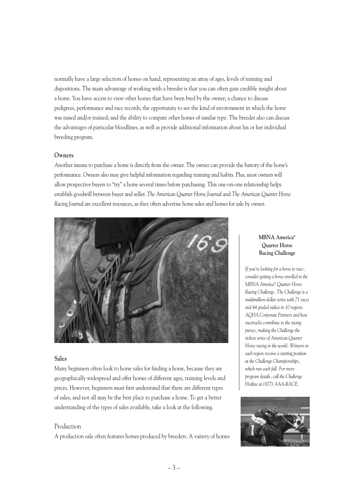normally have a large selection of horses on hand, representing an array of ages, levels of training and dispositions. The main advantage of working with a breeder is that you can often gain credible insight about a horse. You have access to view other horses that have been bred by the owner; a chance to discuss pedigrees, performance and race records; the opportunity to see the kind of environment in which the horse was raised and/or trained; and the ability to compare other horses of similar type. The breeder also can discuss the advantages of particular bloodlines, as well as provide additional information about his or her individual breeding program.

#### **Owners**

Another means to purchase a horse is directly from the owner. The owner can provide the history of the horse's performance. Owners also may give helpful information regarding training and habits. Plus, most owners will allow prospective buyers to "try" a horse several times before purchasing. This one-on-one relationship helps establish goodwill between buyer and seller. *The American Quarter Horse Journal* and *The American Quarter Horse Racing Journal* are excellent resources, as they often advertise horse sales and horses for sale by owner.



#### **Sales**

Many beginners often look to horse sales for finding a horse, because they are geographically widespread and offer horses of different ages, training levels and prices. However, beginners must first understand that there are different types of sales, and not all may be the best place to purchase a horse. To get a better understanding of the types of sales available, take a look at the following.

#### Production

A production sale often features horses produced by breeders. A variety of horses

## **MBNA America® Quarter Horse Racing Challenge**

*If you're looking for a horse to race, consider getting a horse enrolled in the MBNA America® Quarter Horse Racing Challenge. The Challenge is a multimillion-dollar series with 71 races and 44 graded stakes in 10 regions. AQHA Corporate Partners and host racetracks contribute to the racing purses, making the Challenge the richest series of American Quarter Horse racing in the world. Winners in each region receive a starting position at the Challenge Championships, which run each fall. For more program details, call the Challenge Hotline at (877) AAA-RACE.*

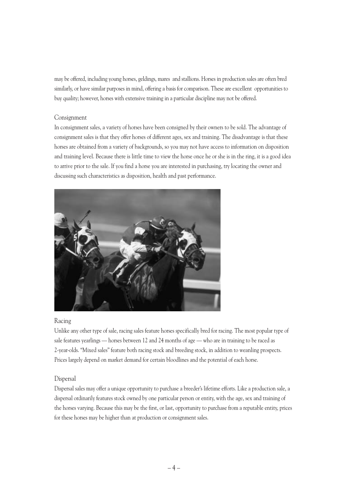may be offered, including young horses, geldings, mares and stallions. Horses in production sales are often bred similarly, or have similar purposes in mind, offering a basis for comparison. These are excellent opportunities to buy quality; however, horses with extensive training in a particular discipline may not be offered.

#### Consignment

In consignment sales, a variety of horses have been consigned by their owners to be sold. The advantage of consignment sales is that they offer horses of different ages, sex and training. The disadvantage is that these horses are obtained from a variety of backgrounds, so you may not have access to information on disposition and training level. Because there is little time to view the horse once he or she is in the ring, it is a good idea to arrive prior to the sale. If you find a horse you are interested in purchasing, try locating the owner and discussing such characteristics as disposition, health and past performance.



## Racing

Unlike any other type of sale, racing sales feature horses specifically bred for racing. The most popular type of sale features yearlings — horses between 12 and 24 months of age — who are in training to be raced as 2-year-olds. "Mixed sales" feature both racing stock and breeding stock, in addition to weanling prospects. Prices largely depend on market demand for certain bloodlines and the potential of each horse.

## Dispersal

Dispersal sales may offer a unique opportunity to purchase a breeder's lifetime efforts. Like a production sale, a dispersal ordinarily features stock owned by one particular person or entity, with the age, sex and training of the horses varying. Because this may be the first, or last, opportunity to purchase from a reputable entity, prices for these horses may be higher than at production or consignment sales.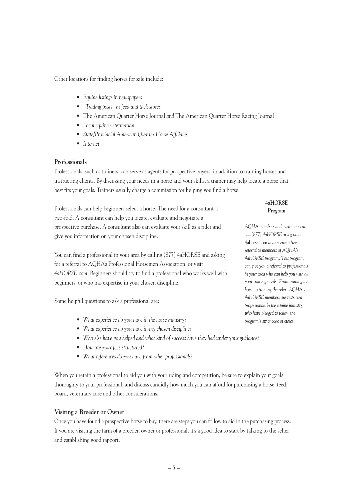Other locations for finding horses for sale include:

- *Equine listings in newspapers*
- *"Trading posts" in feed and tack stores*
- *•* The American Quarter Horse Journal *and* The American Quarter Horse Racing Journal
- *Local equine veterinarian*
- *State/Provincial American Quarter Horse Affiliates*
- *Internet*

#### **Professionals**

Professionals, such as trainers, can serve as agents for prospective buyers, in addition to training horses and instructing clients. By discussing your needs in a horse and your skills, a trainer may help locate a horse that best fits your goals. Trainers usually charge a commission for helping you find a horse.

Professionals can help beginners select a horse. The need for a consultant is two-fold. A consultant can help you locate, evaluate and negotiate a prospective purchase. A consultant also can evaluate your skill as a rider and give you information on your chosen discipline.

You can find a professional in your area by calling (877) 4aHORSE and asking for a referral to AQHA's Professional Horsemen Association, or visit *4aHORSE.com*. Beginners should try to find a professional who works well with beginners, or who has expertise in your chosen discipline.

Some helpful questions to ask a professional are:

- *What experience do you have in the horse industry?*
- *What experience do you have in my chosen discipline?*
- *Who else have you helped and what kind of success have they had under your guidance?*
- *How are your fees structured?*
- *What references do you have from other professionals?*

When you retain a professional to aid you with your riding and competition, be sure to explain your goals thoroughly to your professional, and discuss candidly how much you can afford for purchasing a horse, feed, board, veterinary care and other considerations.

## **Visiting a Breeder or Owner**

Once you have found a prospective horse to buy, there are steps you can follow to aid in the purchasing process. If you are visiting the farm of a breeder, owner or professional, it's a good idea to start by talking to the seller and establishing good rapport.

#### **4aHORSE Program**

*AQHA members and customers can call (877) 4aHORSE or log onto* 4ahorse.com *and receive a free referral to members of AQHA's 4aHORSE program. This program can give you a referral to professionals in your area who can help you with all your training needs. From training the horse to training the rider, AQHA's 4aHORSE members are respected professionals in the equine industry who have pledged to follow the program's strict code of ethics.*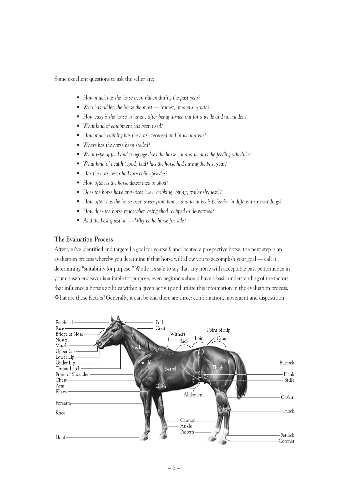Some excellent questions to ask the seller are:

- *How much has the horse been ridden during the past year?*
- *Who has ridden the horse the most trainer, amateur, youth?*
- *How easy is the horse to handle after being turned out for a while and not ridden?*
- *What kind of equipment has been used?*
- *How much training has the horse received and in what areas?*
- *Where has the horse been stalled?*
- *What type of feed and roughage does the horse eat and what is the feeding schedule?*
- *What kind of health (good, bad) has the horse had during the past year?*
- *Has the horse ever had any colic episodes?*
- *How often is the horse dewormed or shod?*
- *Does the horse have any vices (i.e., cribbing, biting, trailer shyness)?*
- *How often has the horse been away from home, and what is his behavior in different surroundings?*
- *How does the horse react when being shod, clipped or dewormed?*
- *And the best question Why is the horse for sale?*

#### **The Evaluation Process**

After you've identified and targeted a goal for yourself, and located a prospective horse, the next step is an evaluation process whereby you determine if that horse will allow you to accomplish your goal — call it determining "suitability for purpose." While it's safe to say that any horse with acceptable past performance in your chosen endeavor is suitable for purpose, even beginners should have a basic understanding of the factors that influence a horse's abilities within a given activity and utilize this information in the evaluation process. What are those factors? Generally, it can be said there are three: conformation, movement and dispostition.

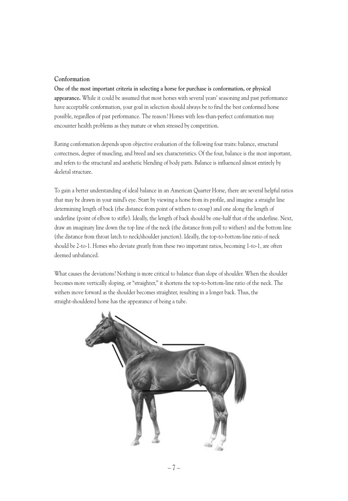#### **Conformation**

**One of the most important criteria in selecting a horse for purchase is conformation, or physical appearance.** While it could be assumed that most horses with several years' seasoning and past performance have acceptable conformation, your goal in selection should always be to find the best conformed horse possible, regardless of past performance. The reason? Horses with less-than-perfect conformation may encounter health problems as they mature or when stressed by competition.

Rating conformation depends upon objective evaluation of the following four traits: balance, structural correctness, degree of muscling, and breed and sex characteristics. Of the four, balance is the most important, and refers to the structural and aesthetic blending of body parts. Balance is influenced almost entirely by skeletal structure.

To gain a better understanding of ideal balance in an American Quarter Horse, there are several helpful ratios that may be drawn in your mind's eye. Start by viewing a horse from its profile, and imagine a straight line determining length of back (the distance from point of withers to croup) and one along the length of underline (point of elbow to stifle). Ideally, the length of back should be one-half that of the underline. Next, draw an imaginary line down the top line of the neck (the distance from poll to withers) and the bottom line (the distance from throat latch to neck/shoulder junction). Ideally, the top-to-bottom-line ratio of neck should be 2-to-1. Horses who deviate greatly from these two important ratios, becoming 1-to-1, are often deemed unbalanced.

What causes the deviations? Nothing is more critical to balance than slope of shoulder. When the shoulder becomes more vertically sloping, or "straighter," it shortens the top-to-bottom-line ratio of the neck. The withers move forward as the shoulder becomes straighter, resulting in a longer back. Thus, the straight-shouldered horse has the appearance of being a tube.

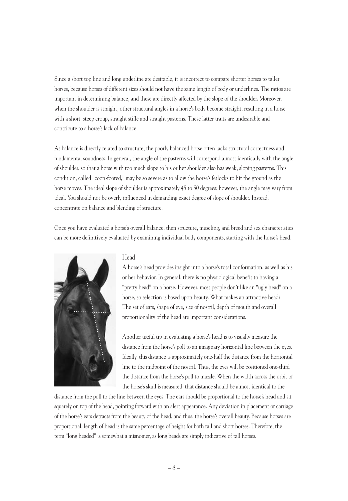Since a short top line and long underline are desirable, it is incorrect to compare shorter horses to taller horses, because horses of different sizes should not have the same length of body or underlines. The ratios are important in determining balance, and these are directly affected by the slope of the shoulder. Moreover, when the shoulder is straight, other structural angles in a horse's body become straight, resulting in a horse with a short, steep croup, straight stifle and straight pasterns. These latter traits are undesirable and contribute to a horse's lack of balance.

As balance is directly related to structure, the poorly balanced horse often lacks structural correctness and fundamental soundness. In general, the angle of the pasterns will correspond almost identically with the angle of shoulder, so that a horse with too much slope to his or her shoulder also has weak, sloping pasterns. This condition, called "coon-footed," may be so severe as to allow the horse's fetlocks to hit the ground as the horse moves. The ideal slope of shoulder is approximately 45 to 50 degrees; however, the angle may vary from ideal. You should not be overly influenced in demanding exact degree of slope of shoulder. Instead, concentrate on balance and blending of structure.

Once you have evaluated a horse's overall balance, then structure, muscling, and breed and sex characteristics can be more definitively evaluated by examining individual body components, starting with the horse's head.



#### Head

A horse's head provides insight into a horse's total conformation, as well as his or her behavior. In general, there is no physiological benefit to having a "pretty head" on a horse. However, most people don't like an "ugly head" on a horse, so selection is based upon beauty. What makes an attractive head? The set of ears, shape of eye, size of nostril, depth of mouth and overall proportionality of the head are important considerations.

Another useful tip in evaluating a horse's head is to visually measure the distance from the horse's poll to an imaginary horizontal line between the eyes. Ideally, this distance is approximately one-half the distance from the horizontal line to the midpoint of the nostril. Thus, the eyes will be positioned one-third the distance from the horse's poll to muzzle. When the width across the orbit of the horse's skull is measured, that distance should be almost identical to the

distance from the poll to the line between the eyes. The ears should be proportional to the horse's head and sit squarely on top of the head, pointing forward with an alert appearance. Any deviation in placement or carriage of the horse's ears detracts from the beauty of the head, and thus, the horse's overall beauty. Because horses are proportional, length of head is the same percentage of height for both tall and short horses. Therefore, the term "long headed" is somewhat a misnomer, as long heads are simply indicative of tall horses.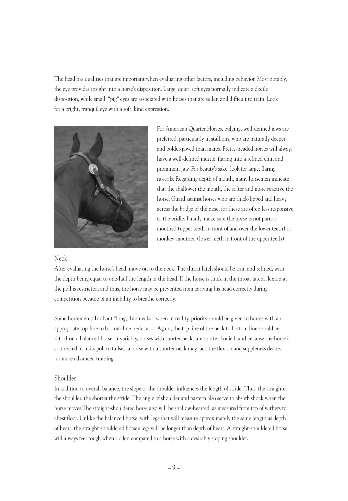The head has qualities that are important when evaluating other factors, including behavior. Most notably, the eye provides insight into a horse's disposition. Large, quiet, soft eyes normally indicate a docile disposition, while small, "pig" eyes are associated with horses that are sullen and difficult to train. Look for a bright, tranquil eye with a soft, kind expression.



For American Quarter Horses, bulging, well-defined jaws are preferred, particularly in stallions, who are naturally deeper and bolder-jawed than mares. Pretty-headed horses will always have a well-defined muzzle, flaring into a refined chin and prominent jaw. For beauty's sake, look for large, flaring nostrils. Regarding depth of mouth, many horsemen indicate that the shallower the mouth, the softer and more reactive the horse. Guard against horses who are thick-lipped and heavy across the bridge of the nose, for these are often less responsive to the bridle. Finally, make sure the horse is not parrotmouthed (upper teeth in front of and over the lower teeth) or monkey-mouthed (lower teeth in front of the upper teeth).

#### Neck

After evaluating the horse's head, move on to the neck. The throat latch should be trim and refined, with the depth being equal to one-half the length of the head. If the horse is thick in the throat latch, flexion at the poll is restricted, and thus, the horse may be prevented from carrying his head correctly during competition because of an inability to breathe correctly.

Some horsemen talk about "long, thin necks," when in reality, priority should be given to horses with an appropriate top-line to bottom-line neck ratio. Again, the top line of the neck to bottom line should be 2-to-1 on a balanced horse. Invariably, horses with shorter necks are shorter-bodied, and because the horse is connected from its poll to tailset, a horse with a shorter neck may lack the flexion and suppleness desired for more advanced training.

#### Shoulder

In addition to overall balance, the slope of the shoulder influences the length of stride. Thus, the straighter the shoulder, the shorter the stride. The angle of shoulder and pastern also serve to absorb shock when the horse moves.The straight-shouldered horse also will be shallow-hearted, as measured from top of withers to chest floor. Unlike the balanced horse, with legs that will measure approximately the same length as depth of heart, the straight-shouldered horse's legs will be longer than depth of heart. A straight-shouldered horse will always feel rough when ridden compared to a horse with a desirably sloping shoulder.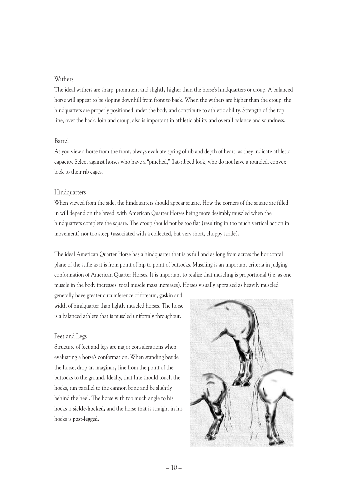#### Withers

The ideal withers are sharp, prominent and slightly higher than the horse's hindquarters or croup. A balanced horse will appear to be sloping downhill from front to back. When the withers are higher than the croup, the hindquarters are properly positioned under the body and contribute to athletic ability. Strength of the top line, over the back, loin and croup, also is important in athletic ability and overall balance and soundness.

#### Barrel

As you view a horse from the front, always evaluate spring of rib and depth of heart, as they indicate athletic capacity. Select against horses who have a "pinched," flat-ribbed look, who do not have a rounded, convex look to their rib cages.

#### Hindquarters

When viewed from the side, the hindquarters should appear square. How the corners of the square are filled in will depend on the breed, with American Quarter Horses being more desirably muscled when the hindquarters complete the square. The croup should not be too flat (resulting in too much vertical action in movement) nor too steep (associated with a collected, but very short, choppy stride).

The ideal American Quarter Horse has a hindquarter that is as full and as long from across the horizontal plane of the stifle as it is from point of hip to point of buttocks. Muscling is an important criteria in judging conformation of American Quarter Horses. It is important to realize that muscling is proportional (i.e. as one muscle in the body increases, total muscle mass increases). Horses visually appraised as heavily muscled

generally have greater circumference of forearm, gaskin and width of hindquarter than lightly muscled horses. The horse is a balanced athlete that is muscled uniformly throughout.

#### Feet and Legs

Structure of feet and legs are major considerations when evaluating a horse's conformation. When standing beside the horse, drop an imaginary line from the point of the buttocks to the ground. Ideally, that line should touch the hocks, run parallel to the cannon bone and be slightly behind the heel. The horse with too much angle to his hocks is **sickle-hocked,** and the horse that is straight in his hocks is **post-legged.**

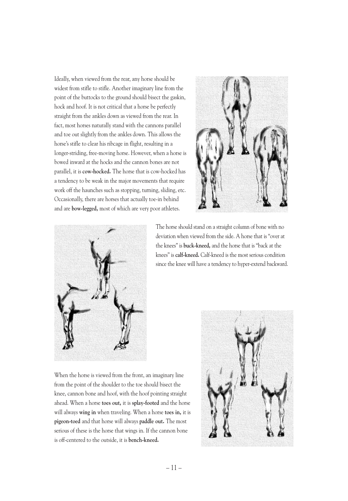Ideally, when viewed from the rear, any horse should be widest from stifle to stifle. Another imaginary line from the point of the buttocks to the ground should bisect the gaskin, hock and hoof. It is not critical that a horse be perfectly straight from the ankles down as viewed from the rear. In fact, most horses naturally stand with the cannons parallel and toe out slightly from the ankles down. This allows the horse's stifle to clear his ribcage in flight, resulting in a longer-striding, free-moving horse. However, when a horse is bowed inward at the hocks and the cannon bones are not parallel, it is **cow-hocked.** The horse that is cow-hocked has a tendency to be weak in the major movements that require work off the haunches such as stopping, turning, sliding, etc. Occasionally, there are horses that actually toe-in behind and are **bow-legged,** most of which are very poor athletes.





The horse should stand on a straight column of bone with no deviation when viewed from the side. A horse that is "over at the knees" is **buck-kneed,** and the horse that is "back at the knees" is **calf-kneed.** Calf-kneed is the most serious condition since the knee will have a tendency to hyper-extend backward.

When the horse is viewed from the front, an imaginary line from the point of the shoulder to the toe should bisect the knee, cannon bone and hoof, with the hoof pointing straight ahead. When a horse **toes out,** it is **splay-footed** and the horse will always **wing in** when traveling. When a horse **toes in,** it is **pigeon-toed** and that horse will always **paddle out.** The most serious of these is the horse that wings in. If the cannon bone is off-centered to the outside, it is **bench-kneed.**

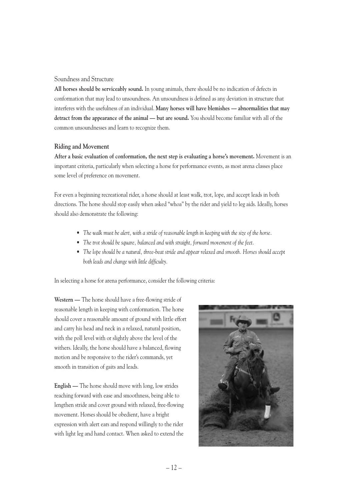#### Soundness and Structure

**All horses should be serviceably sound.** In young animals, there should be no indication of defects in conformation that may lead to unsoundness. An unsoundness is defined as any deviation in structure that interferes with the usefulness of an individual. **Many horses will have blemishes — abnormalities that may detract from the appearance of the animal — but are sound.** You should become familiar with all of the common unsoundnesses and learn to recognize them.

#### **Riding and Movement**

**After a basic evaluation of conformation, the next step is evaluating a horse's movement.** Movement is an important criteria, particularly when selecting a horse for performance events, as most arena classes place some level of preference on movement.

For even a beginning recreational rider, a horse should at least walk, trot, lope, and accept leads in both directions. The horse should stop easily when asked "whoa" by the rider and yield to leg aids. Ideally, horses should also demonstrate the following:

- *The walk must be alert, with a stride of reasonable length in keeping with the size of the horse.*
- *The trot should be square, balanced and with straight, forward movement of the feet.*
- *The lope should be a natural, three-beat stride and appear relaxed and smooth. Horses should accept both leads and change with little difficulty.*

In selecting a horse for arena performance, consider the following criteria:

**Western —** The horse should have a free-flowing stride of reasonable length in keeping with conformation. The horse should cover a reasonable amount of ground with little effort and carry his head and neck in a relaxed, natural position, with the poll level with or slightly above the level of the withers. Ideally, the horse should have a balanced, flowing motion and be responsive to the rider's commands, yet smooth in transition of gaits and leads.

**English —** The horse should move with long, low strides reaching forward with ease and smoothness, being able to lengthen stride and cover ground with relaxed, free-flowing movement. Horses should be obedient, have a bright expression with alert ears and respond willingly to the rider with light leg and hand contact. When asked to extend the

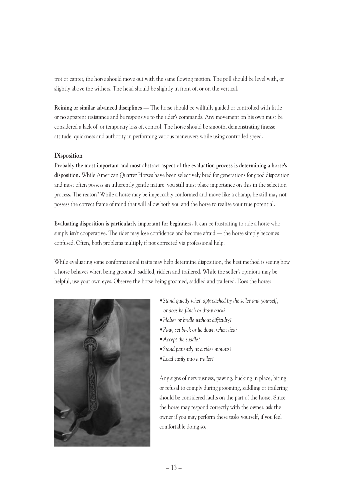trot or canter, the horse should move out with the same flowing motion. The poll should be level with, or slightly above the withers. The head should be slightly in front of, or on the vertical.

**Reining or similar advanced disciplines —** The horse should be willfully guided or controlled with little or no apparent resistance and be responsive to the rider's commands. Any movement on his own must be considered a lack of, or temporary loss of, control. The horse should be smooth, demonstrating finesse, attitude, quickness and authority in performing various maneuvers while using controlled speed.

## **Disposition**

**Probably the most important and most abstract aspect of the evaluation process is determining a horse's disposition.** While American Quarter Horses have been selectively bred for generations for good disposition and most often possess an inherently gentle nature, you still must place importance on this in the selection process. The reason? While a horse may be impeccably conformed and move like a champ, he still may not possess the correct frame of mind that will allow both you and the horse to realize your true potential.

**Evaluating disposition is particularly important for beginners.** It can be frustrating to ride a horse who simply isn't cooperative. The rider may lose confidence and become afraid — the horse simply becomes confused. Often, both problems multiply if not corrected via professional help.

While evaluating some conformational traits may help determine disposition, the best method is seeing how a horse behaves when being groomed, saddled, ridden and trailered. While the seller's opinions may be helpful, use your own eyes. Observe the horse being groomed, saddled and trailered. Does the horse:



- *•Stand quietly when approached by the seller and yourself, or does he flinch or draw back?*
- *•Halter or bridle without difficulty?*
- *•Paw, set back or lie down when tied?*
- *•Accept the saddle?*
- *•Stand patiently as a rider mounts?*
- *•Load easily into a trailer?*

Any signs of nervousness, pawing, bucking in place, biting or refusal to comply during grooming, saddling or trailering should be considered faults on the part of the horse. Since the horse may respond correctly with the owner, ask the owner if you may perform these tasks yourself, if you feel comfortable doing so.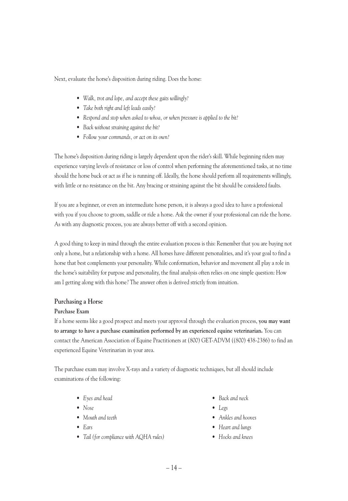Next, evaluate the horse's disposition during riding. Does the horse:

- *Walk, trot and lope, and accept these gaits willingly?*
- *Take both right and left leads easily?*
- *Respond and stop when asked to whoa, or when pressure is applied to the bit?*
- *Back without straining against the bit?*
- *Follow your commands, or act on its own?*

The horse's disposition during riding is largely dependent upon the rider's skill. While beginning riders may experience varying levels of resistance or loss of control when performing the aforementioned tasks, at no time should the horse buck or act as if he is running off. Ideally, the horse should perform all requirements willingly, with little or no resistance on the bit. Any bracing or straining against the bit should be considered faults.

If you are a beginner, or even an intermediate horse person, it is always a good idea to have a professional with you if you choose to groom, saddle or ride a horse. Ask the owner if your professional can ride the horse. As with any diagnostic process, you are always better off with a second opinion.

A good thing to keep in mind through the entire evaluation process is this: Remember that you are buying not only a horse, but a relationship with a horse. All horses have different personalities, and it's your goal to find a horse that best complements your personality. While conformation, behavior and movement all play a role in the horse's suitability for purpose and personality, the final analysis often relies on one simple question: How am I getting along with this horse? The answer often is derived strictly from intuition.

## **Purchasing a Horse**

## **Purchase Exam**

If a horse seems like a good prospect and meets your approval through the evaluation process, **you may want to arrange to have a purchase examination performed by an experienced equine veterinarian.** You can contact the American Association of Equine Practitioners at (800) GET-ADVM ((800) 438-2386) to find an experienced Equine Veterinarian in your area.

The purchase exam may involve X-rays and a variety of diagnostic techniques, but all should include examinations of the following:

- 
- *Nose Legs*
- 
- 
- *Tail (for compliance with AQHA rules) Hocks and knees*
- *Eyes and head Back and neck*
	-
- *Mouth and teeth Ankles and hooves*
- *Ears Heart and lungs*
	-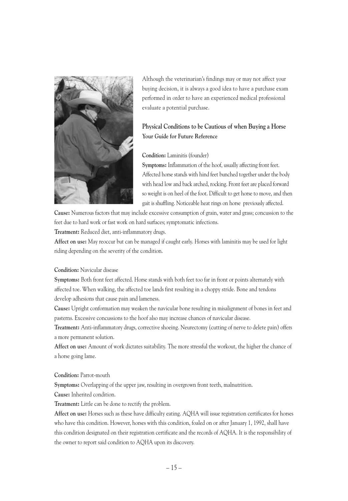

Although the veterinarian's findings may or may not affect your buying decision, it is always a good idea to have a purchase exam performed in order to have an experienced medical professional evaluate a potential purchase.

## **Physical Conditions to be Cautious of when Buying a Horse Your Guide for Future Reference**

#### **Condition:** Laminitis (founder)

**Symptoms:** Inflammation of the hoof, usually affecting front feet. Affected horse stands with hind feet bunched together under the body with head low and back arched, rocking. Front feet are placed forward so weight is on heel of the foot. Difficult to get horse to move, and then gait is shuffling. Noticeable heat rings on horse previously affected.

**Cause:** Numerous factors that may include excessive consumption of grain, water and grass; concussion to the feet due to hard work or fast work on hard surfaces; symptomatic infections.

**Treatment:** Reduced diet, anti-inflammatory drugs.

**Affect on use:** May reoccur but can be managed if caught early. Horses with laminitis may be used for light riding depending on the severity of the condition.

## **Condition:** Navicular disease

**Symptoms:** Both front feet affected. Horse stands with both feet too far in front or points alternately with affected toe. When walking, the affected toe lands first resulting in a choppy stride. Bone and tendons develop adhesions that cause pain and lameness.

**Cause:** Upright conformation may weaken the navicular bone resulting in misalignment of bones in feet and pasterns. Excessive concussions to the hoof also may increase chances of navicular disease.

**Treatment:** Anti-inflammatory drugs, corrective shoeing. Neurectomy (cutting of nerve to delete pain) offers a more permanent solution.

**Affect on use:** Amount of work dictates suitability. The more stressful the workout, the higher the chance of a horse going lame.

## **Condition:** Parrot-mouth

**Symptoms:** Overlapping of the upper jaw, resulting in overgrown front teeth, malnutrition.

**Cause:** Inherited condition.

**Treatment:** Little can be done to rectify the problem.

**Affect on use:** Horses such as these have difficulty eating. AQHA will issue registration certificates for horses who have this condition. However, horses with this condition, foaled on or after January 1, 1992, shall have this condition designated on their registration certificate and the records of AQHA. It is the responsibility of the owner to report said condition to AQHA upon its discovery.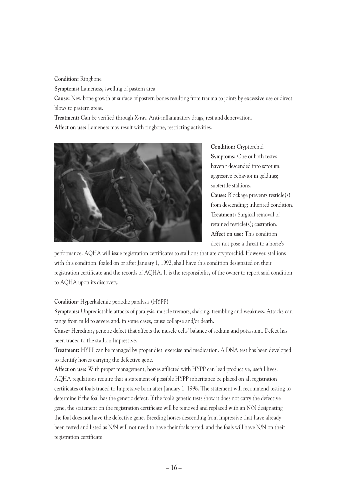**Condition:** Ringbone

**Symptoms:** Lameness, swelling of pastern area.

**Cause:** New bone growth at surface of pastern bones resulting from trauma to joints by excessive use or direct blows to pastern areas.

**Treatment:** Can be verified through X-ray. Anti-inflammatory drugs, rest and denervation. **Affect on use:** Lameness may result with ringbone, restricting activities.



**Condition:** Cryptorchid **Symptoms:** One or both testes haven't descended into scrotum; aggressive behavior in geldings; subfertile stallions. **Cause:** Blockage prevents testicle(s) from descending; inherited condition. **Treatment:** Surgical removal of retained testicle(s); castration. **Affect on use:** This condition does not pose a threat to a horse's

performance. AQHA will issue registration certificates to stallions that are cryptorchid. However, stallions with this condition, foaled on or after January 1, 1992, shall have this condition designated on their registration certificate and the records of AQHA. It is the responsibility of the owner to report said condition to AQHA upon its discovery.

#### **Condition:** Hyperkalemic periodic paralysis (HYPP)

**Symptoms:** Unpredictable attacks of paralysis, muscle tremors, shaking, trembling and weakness. Attacks can range from mild to severe and, in some cases, cause collapse and/or death.

**Cause:** Hereditary genetic defect that affects the muscle cells' balance of sodium and potassium. Defect has been traced to the stallion Impressive.

**Treatment:** HYPP can be managed by proper diet, exercise and medication. A DNA test has been developed to identify horses carrying the defective gene.

**Affect on use:** With proper management, horses afflicted with HYPP can lead productive, useful lives. AQHA regulations require that a statement of possible HYPP inheritance be placed on all registration certificates of foals traced to Impressive born after January 1, 1998. The statement will recommend testing to determine if the foal has the genetic defect. If the foal's genetic tests show it does not carry the defective gene, the statement on the registration certificate will be removed and replaced with an N/N designating the foal does not have the defective gene. Breeding horses descending from Impressive that have already been tested and listed as N/N will not need to have their foals tested, and the foals will have N/N on their registration certificate.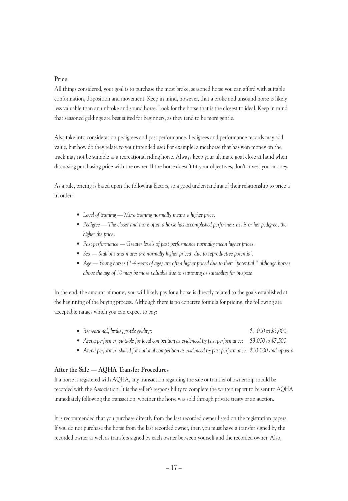#### **Price**

All things considered, your goal is to purchase the most broke, seasoned horse you can afford with suitable conformation, disposition and movement. Keep in mind, however, that a broke and unsound horse is likely less valuable than an unbroke and sound horse. Look for the horse that is the closest to ideal. Keep in mind that seasoned geldings are best suited for beginners, as they tend to be more gentle.

Also take into consideration pedigrees and past performance. Pedigrees and performance records may add value, but how do they relate to your intended use? For example: a racehorse that has won money on the track may not be suitable as a recreational riding horse. Always keep your ultimate goal close at hand when discussing purchasing price with the owner. If the horse doesn't fit your objectives, don't invest your money.

As a rule, pricing is based upon the following factors, so a good understanding of their relationship to price is in order:

- *Level of training More training normally means a higher price.*
- *Pedigree The closer and more often a horse has accomplished performers in his or her pedigree, the higher the price.*
- *Past performance Greater levels of past performance normally mean higher prices.*
- *Sex Stallions and mares are normally higher priced, due to reproductive potential.*
- *Age Young horses (1-4 years of age) are often higher priced due to their "potential," although horses above the age of 10 may be more valuable due to seasoning or suitability for purpose.*

In the end, the amount of money you will likely pay for a horse is directly related to the goals established at the beginning of the buying process. Although there is no concrete formula for pricing, the following are acceptable ranges which you can expect to pay:

- *Recreational, broke, gentle gelding: \$1,000 to \$3,000*
- *Arena performer, suitable for local competition as evidenced by past performance: \$3,000 to \$7,500*
- *Arena performer, skilled for national competition as evidenced by past performance: \$10,000 and upward*

#### **After the Sale — AQHA Transfer Procedures**

If a horse is registered with AQHA, any transaction regarding the sale or transfer of ownership should be recorded with the Association. It is the seller's responsibility to complete the written report to be sent to AQHA immediately following the transaction, whether the horse was sold through private treaty or an auction.

It is recommended that you purchase directly from the last recorded owner listed on the registration papers. If you do not purchase the horse from the last recorded owner, then you must have a transfer signed by the recorded owner as well as transfers signed by each owner between yourself and the recorded owner. Also,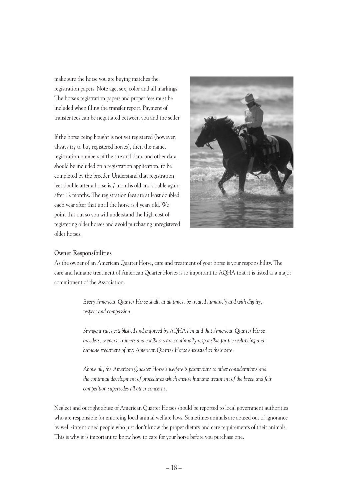make sure the horse you are buying matches the registration papers. Note age, sex, color and all markings. The horse's registration papers and proper fees must be included when filing the transfer report. Payment of transfer fees can be negotiated between you and the seller.

If the horse being bought is not yet registered (however, always try to buy registered horses), then the name, registration numbers of the sire and dam, and other data should be included on a registration application, to be completed by the breeder. Understand that registration fees double after a horse is 7 months old and double again after 12 months. The registration fees are at least doubled each year after that until the horse is 4 years old. We point this out so you will understand the high cost of registering older horses and avoid purchasing unregistered older horses.



#### **Owner Responsibilities**

As the owner of an American Quarter Horse, care and treatment of your horse is your responsibility. The care and humane treatment of American Quarter Horses is so important to AQHA that it is listed as a major commitment of the Association.

> *Every American Quarter Horse shall, at all times, be treated humanely and with dignity, respect and compassion.*

*Stringent rules established and enforced by AQHA demand that American Quarter Horse breeders, owners, trainers and exhibitors are continually responsible for the well-being and humane treatment of any American Quarter Horse entrusted to their care.*

*Above all, the American Quarter Horse's welfare is paramount to other considerations and the continual development of procedures which ensure humane treatment of the breed and fair competition supersedes all other concerns.*

Neglect and outright abuse of American Quarter Horses should be reported to local government authorities who are responsible for enforcing local animal welfare laws. Sometimes animals are abused out of ignorance by well- intentioned people who just don't know the proper dietary and care requirements of their animals. This is why it is important to know how to care for your horse before you purchase one.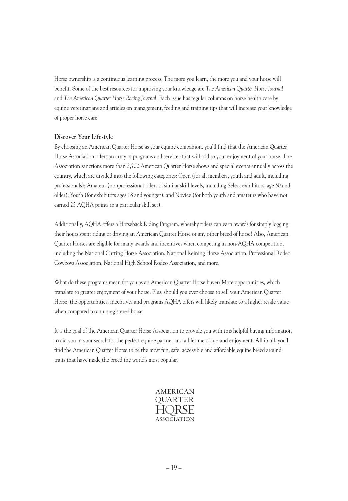Horse ownership is a continuous learning process. The more you learn, the more you and your horse will benefit. Some of the best resources for improving your knowledge are *The American Quarter Horse Journal*  and *The American Quarter Horse Racing Journal.* Each issue has regular columns on horse health care by equine veterinarians and articles on management, feeding and training tips that will increase your knowledge of proper horse care.

## **Discover Your Lifestyle**

By choosing an American Quarter Horse as your equine companion, you'll find that the American Quarter Horse Association offers an array of programs and services that will add to your enjoyment of your horse. The Association sanctions more than 2,700 American Quarter Horse shows and special events annually across the country, which are divided into the following categories: Open (for all members, youth and adult, including professionals); Amateur (nonprofessional riders of similar skill levels, including Select exhibitors, age 50 and older); Youth (for exhibitors ages 18 and younger); and Novice (for both youth and amateurs who have not earned 25 AQHA points in a particular skill set).

Additionally, AQHA offers a Horseback Riding Program, whereby riders can earn awards for simply logging their hours spent riding or driving an American Quarter Horse or any other breed of horse! Also, American Quarter Horses are eligible for many awards and incentives when competing in non-AQHA competition, including the National Cutting Horse Association, National Reining Horse Association, Professional Rodeo Cowboys Association, National High School Rodeo Association, and more.

What do these programs mean for you as an American Quarter Horse buyer? More opportunities, which translate to greater enjoyment of your horse. Plus, should you ever choose to sell your American Quarter Horse, the opportunities, incentives and programs AQHA offers will likely translate to a higher resale value when compared to an unregistered horse.

It is the goal of the American Quarter Horse Association to provide you with this helpful buying information to aid you in your search for the perfect equine partner and a lifetime of fun and enjoyment. All in all, you'll find the American Quarter Horse to be the most fun, safe, accessible and affordable equine breed around, traits that have made the breed the world's most popular.

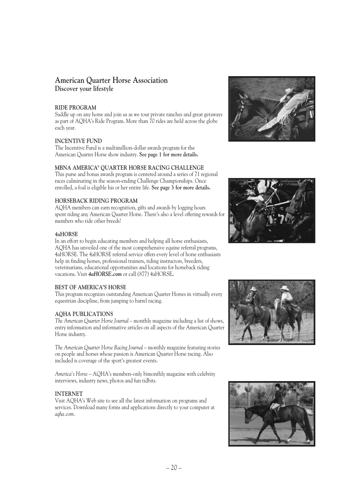## **American Quarter Horse Association Discover your lifestyle**

#### **RIDE PROGRAM**

Saddle up on any horse and join us as we tour private ranches and great getaways as part of AQHA's Ride Program. More than 70 rides are held across the globe each year.

#### **INCENTIVE FUND**

The Incentive Fund is a multimillion*-*dollar awards program for the American Quarter Horse show industry. **See page 1 for more details.**

#### **MBNA AMERICA® QUARTER HORSE RACING CHALLENGE**

This purse and bonus awards program is centered around a series of 71 regional races culminating in the season-ending Challenge Championships. Once enrolled, a foal is eligible his or her entire life. **See page 3 for more details.**

#### **HORSEBACK RIDING PROGRAM**

AQHA members can earn recognition, gifts and awards by logging hours spent riding any American Quarter Horse. There's also a level offering rewards for members who ride other breeds!

#### **4aHORSE**

In an effort to begin educating members and helping all horse enthusiasts, AQHA has unveiled one of the most comprehensive equine referral programs, 4aHORSE. The 4aHORSE referral service offers every level of horse enthusiasts help in finding horses, professional trainers, riding instructors, breeders, veterinarians, educational opportunities and locations for horseback riding vacations. Visit *4aHORSE.com* or call (877) 4aHORSE**.**

#### **BEST OF AMERICA'S HORSE**

This program recognizes outstanding American Quarter Horses in virtually every equestrian discipline, from jumping to barrel racing.

## **AQHA PUBLICATIONS**

*The American Quarter Horse Journal –* monthly magazine including a list of shows, entry information and informative articles on all aspects of the American Quarter Horse industry.

*The American Quarter Horse Racing Journal –* monthly magazine featuring stories on people and horses whose passion is American Quarter Horse racing. Also included is coverage of the sport's greatest events.

*America's Horse –* AQHA's members-only bimonthly magazine with celebrity interviews, industry news, photos and fun tidbits.

#### **INTERNET**

Visit AQHA's Web site to see all the latest information on programs and services. Download many forms and applications directly to your computer at *aqha.com.*







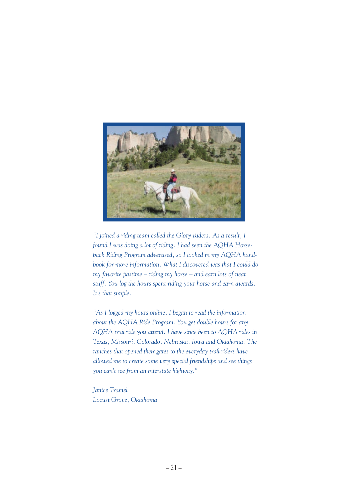

*"I joined a riding team called the Glory Riders. As a result, I found I was doing a lot of riding. I had seen the AQHA Horseback Riding Program advertised, so I looked in my AQHA handbook for more information. What I discovered was that I could do my favorite pastime – riding my horse – and earn lots of neat stuff. You log the hours spent riding your horse and earn awards. It's that simple.* 

*"As I logged my hours online, I began to read the information about the AQHA Ride Program. You get double hours for any AQHA trail ride you attend. I have since been to AQHA rides in Texas, Missouri, Colorado, Nebraska, Iowa and Oklahoma. The ranches that opened their gates to the everyday trail riders have allowed me to create some very special friendships and see things you can't see from an interstate highway."*

*Janice Tramel Locust Grove, Oklahoma*